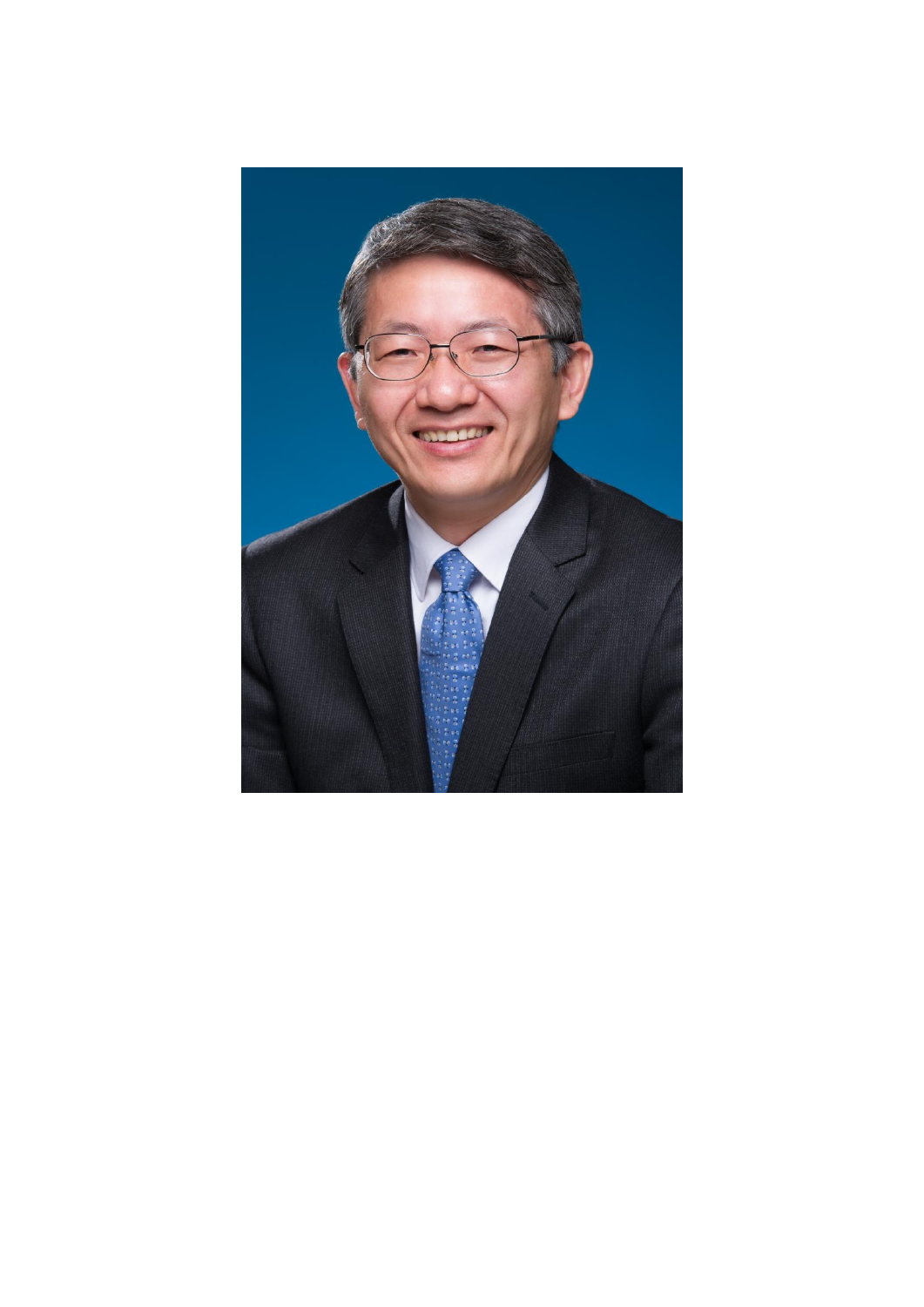